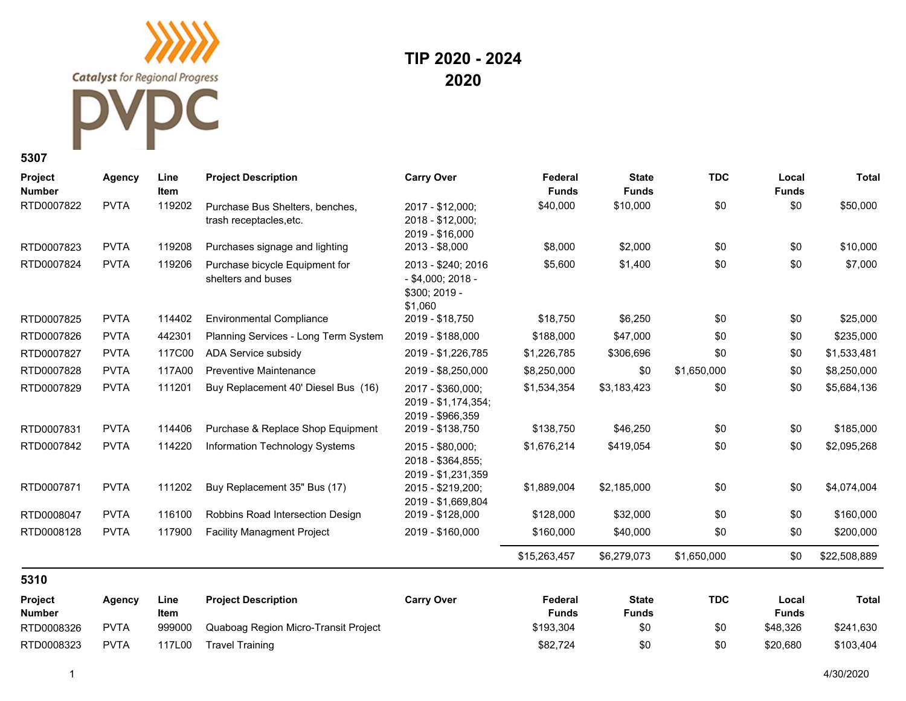**Catalyst** for Regional Progress

## C

## **TIP 2020 - 2024 2020**

**5307**

| Project<br><b>Number</b> | <b>Agency</b> | Line<br><b>Item</b> | <b>Project Description</b>                                 | <b>Carry Over</b>                                                     | Federal<br><b>Funds</b> | <b>State</b><br><b>Funds</b> | <b>TDC</b>  | Local<br><b>Funds</b> | <b>Total</b> |
|--------------------------|---------------|---------------------|------------------------------------------------------------|-----------------------------------------------------------------------|-------------------------|------------------------------|-------------|-----------------------|--------------|
| RTD0007822               | <b>PVTA</b>   | 119202              | Purchase Bus Shelters, benches,<br>trash receptacles, etc. | 2017 - \$12,000;<br>2018 - \$12,000;<br>2019 - \$16,000               | \$40,000                | \$10,000                     | \$0         | \$0                   | \$50,000     |
| RTD0007823               | <b>PVTA</b>   | 119208              | Purchases signage and lighting                             | 2013 - \$8,000                                                        | \$8,000                 | \$2,000                      | \$0         | \$0                   | \$10,000     |
| RTD0007824               | <b>PVTA</b>   | 119206              | Purchase bicycle Equipment for<br>shelters and buses       | 2013 - \$240; 2016<br>$-$ \$4,000; 2018 -<br>\$300; 2019 -<br>\$1,060 | \$5,600                 | \$1,400                      | \$0         | \$0                   | \$7,000      |
| RTD0007825               | <b>PVTA</b>   | 114402              | <b>Environmental Compliance</b>                            | 2019 - \$18,750                                                       | \$18,750                | \$6,250                      | \$0         | \$0                   | \$25,000     |
| RTD0007826               | <b>PVTA</b>   | 442301              | Planning Services - Long Term System                       | 2019 - \$188,000                                                      | \$188,000               | \$47,000                     | \$0         | \$0                   | \$235,000    |
| RTD0007827               | <b>PVTA</b>   | 117C00              | ADA Service subsidy                                        | 2019 - \$1,226,785                                                    | \$1,226,785             | \$306,696                    | \$0         | \$0                   | \$1,533,481  |
| RTD0007828               | <b>PVTA</b>   | 117A00              | <b>Preventive Maintenance</b>                              | 2019 - \$8,250,000                                                    | \$8,250,000             | \$0                          | \$1,650,000 | \$0                   | \$8,250,000  |
| RTD0007829               | <b>PVTA</b>   | 111201              | Buy Replacement 40' Diesel Bus (16)                        | 2017 - \$360,000;<br>2019 - \$1,174,354;<br>2019 - \$966,359          | \$1,534,354             | \$3,183,423                  | \$0         | \$0                   | \$5,684,136  |
| RTD0007831               | <b>PVTA</b>   | 114406              | Purchase & Replace Shop Equipment                          | 2019 - \$138,750                                                      | \$138,750               | \$46,250                     | \$0         | \$0                   | \$185,000    |
| RTD0007842               | <b>PVTA</b>   | 114220              | Information Technology Systems                             | 2015 - \$80,000;<br>2018 - \$364,855;<br>2019 - \$1,231,359           | \$1,676,214             | \$419,054                    | \$0         | \$0                   | \$2,095,268  |
| RTD0007871               | <b>PVTA</b>   | 111202              | Buy Replacement 35" Bus (17)                               | 2015 - \$219,200;<br>2019 - \$1,669,804                               | \$1,889,004             | \$2,185,000                  | \$0         | \$0                   | \$4,074,004  |
| RTD0008047               | <b>PVTA</b>   | 116100              | Robbins Road Intersection Design                           | 2019 - \$128,000                                                      | \$128,000               | \$32,000                     | \$0         | \$0                   | \$160,000    |
| RTD0008128               | <b>PVTA</b>   | 117900              | <b>Facility Managment Project</b>                          | 2019 - \$160,000                                                      | \$160,000               | \$40,000                     | \$0         | \$0                   | \$200,000    |
|                          |               |                     |                                                            |                                                                       | \$15,263,457            | \$6,279,073                  | \$1,650,000 | \$0                   | \$22,508,889 |
| 5310                     |               |                     |                                                            |                                                                       |                         |                              |             |                       |              |
| Project<br><b>Number</b> | <b>Agency</b> | Line<br>Item        | <b>Project Description</b>                                 | <b>Carry Over</b>                                                     | Federal<br><b>Funds</b> | <b>State</b><br><b>Funds</b> | <b>TDC</b>  | Local<br><b>Funds</b> | <b>Total</b> |
| RTD0008326               | <b>PVTA</b>   | 999000              | Quaboag Region Micro-Transit Project                       |                                                                       | \$193,304               | \$0                          | \$0         | \$48,326              | \$241,630    |
| RTD0008323               | <b>PVTA</b>   | 117L00              | <b>Travel Training</b>                                     |                                                                       | \$82,724                | \$0                          | \$0         | \$20.680              | \$103,404    |